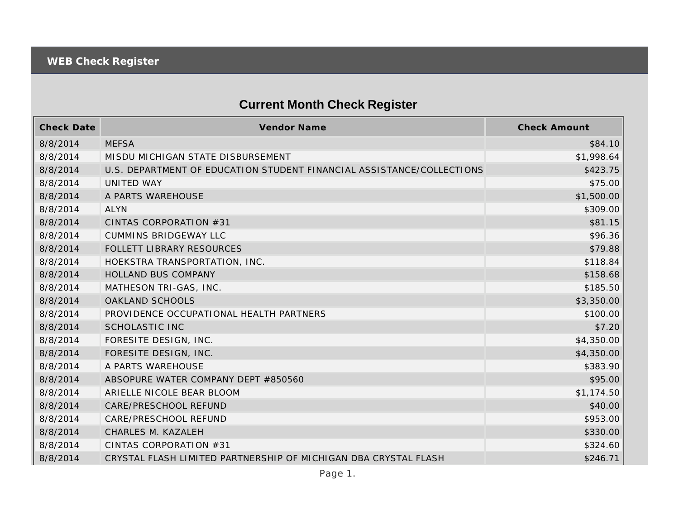## **Current Month Check Register**

| <b>Check Date</b> | <b>Vendor Name</b>                                                    | <b>Check Amount</b> |
|-------------------|-----------------------------------------------------------------------|---------------------|
| 8/8/2014          | <b>MEFSA</b>                                                          | \$84.10             |
| 8/8/2014          | MISDU MICHIGAN STATE DISBURSEMENT                                     | \$1,998.64          |
| 8/8/2014          | U.S. DEPARTMENT OF EDUCATION STUDENT FINANCIAL ASSISTANCE/COLLECTIONS | \$423.75            |
| 8/8/2014          | <b>UNITED WAY</b>                                                     | \$75.00             |
| 8/8/2014          | A PARTS WAREHOUSE                                                     | \$1,500.00          |
| 8/8/2014          | <b>ALYN</b>                                                           | \$309.00            |
| 8/8/2014          | CINTAS CORPORATION #31                                                | \$81.15             |
| 8/8/2014          | <b>CUMMINS BRIDGEWAY LLC</b>                                          | \$96.36             |
| 8/8/2014          | FOLLETT LIBRARY RESOURCES                                             | \$79.88             |
| 8/8/2014          | HOEKSTRA TRANSPORTATION, INC.                                         | \$118.84            |
| 8/8/2014          | HOLLAND BUS COMPANY                                                   | \$158.68            |
| 8/8/2014          | MATHESON TRI-GAS, INC.                                                | \$185.50            |
| 8/8/2014          | <b>OAKLAND SCHOOLS</b>                                                | \$3,350.00          |
| 8/8/2014          | PROVIDENCE OCCUPATIONAL HEALTH PARTNERS                               | \$100.00            |
| 8/8/2014          | <b>SCHOLASTIC INC</b>                                                 | \$7.20              |
| 8/8/2014          | FORESITE DESIGN, INC.                                                 | \$4,350.00          |
| 8/8/2014          | FORESITE DESIGN, INC.                                                 | \$4,350.00          |
| 8/8/2014          | A PARTS WAREHOUSE                                                     | \$383.90            |
| 8/8/2014          | ABSOPURE WATER COMPANY DEPT #850560                                   | \$95.00             |
| 8/8/2014          | ARIELLE NICOLE BEAR BLOOM                                             | \$1,174.50          |
| 8/8/2014          | CARE/PRESCHOOL REFUND                                                 | \$40.00             |
| 8/8/2014          | CARE/PRESCHOOL REFUND                                                 | \$953.00            |
| 8/8/2014          | CHARLES M. KAZALEH                                                    | \$330.00            |
| 8/8/2014          | CINTAS CORPORATION #31                                                | \$324.60            |
| 8/8/2014          | CRYSTAL FLASH LIMITED PARTNERSHIP OF MICHIGAN DBA CRYSTAL FLASH       | \$246.71            |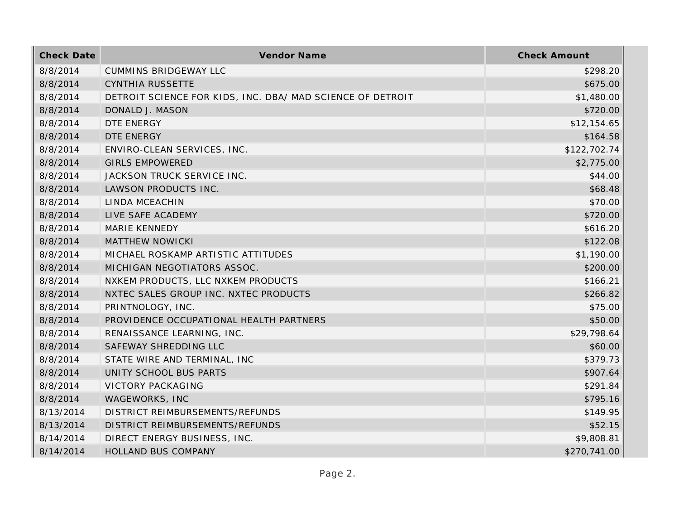| <b>Check Date</b> | Vendor Name                                                | <b>Check Amount</b> |
|-------------------|------------------------------------------------------------|---------------------|
| 8/8/2014          | <b>CUMMINS BRIDGEWAY LLC</b>                               | \$298.20            |
| 8/8/2014          | <b>CYNTHIA RUSSETTE</b>                                    | \$675.00            |
| 8/8/2014          | DETROIT SCIENCE FOR KIDS, INC. DBA/ MAD SCIENCE OF DETROIT | \$1,480.00          |
| 8/8/2014          | DONALD J. MASON                                            | \$720.00            |
| 8/8/2014          | DTE ENERGY                                                 | \$12,154.65         |
| 8/8/2014          | DTE ENERGY                                                 | \$164.58            |
| 8/8/2014          | ENVIRO-CLEAN SERVICES, INC.                                | \$122,702.74        |
| 8/8/2014          | <b>GIRLS EMPOWERED</b>                                     | \$2,775.00          |
| 8/8/2014          | JACKSON TRUCK SERVICE INC.                                 | \$44.00             |
| 8/8/2014          | LAWSON PRODUCTS INC.                                       | \$68.48             |
| 8/8/2014          | LINDA MCEACHIN                                             | \$70.00             |
| 8/8/2014          | LIVE SAFE ACADEMY                                          | \$720.00            |
| 8/8/2014          | <b>MARIE KENNEDY</b>                                       | \$616.20            |
| 8/8/2014          | <b>MATTHEW NOWICKI</b>                                     | \$122.08            |
| 8/8/2014          | MICHAEL ROSKAMP ARTISTIC ATTITUDES                         | \$1,190.00          |
| 8/8/2014          | MICHIGAN NEGOTIATORS ASSOC.                                | \$200.00            |
| 8/8/2014          | NXKEM PRODUCTS, LLC NXKEM PRODUCTS                         | \$166.21            |
| 8/8/2014          | NXTEC SALES GROUP INC. NXTEC PRODUCTS                      | \$266.82            |
| 8/8/2014          | PRINTNOLOGY, INC.                                          | \$75.00             |
| 8/8/2014          | PROVIDENCE OCCUPATIONAL HEALTH PARTNERS                    | \$50.00             |
| 8/8/2014          | RENAISSANCE LEARNING, INC.                                 | \$29,798.64         |
| 8/8/2014          | SAFEWAY SHREDDING LLC                                      | \$60.00             |
| 8/8/2014          | STATE WIRE AND TERMINAL, INC                               | \$379.73            |
| 8/8/2014          | UNITY SCHOOL BUS PARTS                                     | \$907.64            |
| 8/8/2014          | <b>VICTORY PACKAGING</b>                                   | \$291.84            |
| 8/8/2014          | WAGEWORKS, INC                                             | \$795.16            |
| 8/13/2014         | DISTRICT REIMBURSEMENTS/REFUNDS                            | \$149.95            |
| 8/13/2014         | DISTRICT REIMBURSEMENTS/REFUNDS                            | \$52.15             |
| 8/14/2014         | DIRECT ENERGY BUSINESS, INC.                               | \$9,808.81          |
| 8/14/2014         | HOLLAND BUS COMPANY                                        | \$270,741.00        |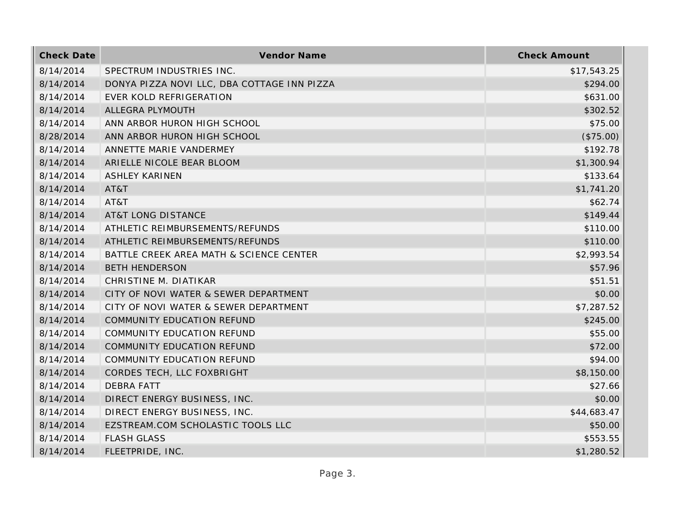| <b>Check Date</b> | <b>Vendor Name</b>                          | <b>Check Amount</b> |
|-------------------|---------------------------------------------|---------------------|
| 8/14/2014         | SPECTRUM INDUSTRIES INC.                    | \$17,543.25         |
| 8/14/2014         | DONYA PIZZA NOVI LLC, DBA COTTAGE INN PIZZA | \$294.00            |
| 8/14/2014         | EVER KOLD REFRIGERATION                     | \$631.00            |
| 8/14/2014         | ALLEGRA PLYMOUTH                            | \$302.52            |
| 8/14/2014         | ANN ARBOR HURON HIGH SCHOOL                 | \$75.00             |
| 8/28/2014         | ANN ARBOR HURON HIGH SCHOOL                 | (\$75.00)           |
| 8/14/2014         | ANNETTE MARIE VANDERMEY                     | \$192.78            |
| 8/14/2014         | ARIELLE NICOLE BEAR BLOOM                   | \$1,300.94          |
| 8/14/2014         | <b>ASHLEY KARINEN</b>                       | \$133.64            |
| 8/14/2014         | AT&T                                        | \$1,741.20          |
| 8/14/2014         | AT&T                                        | \$62.74             |
| 8/14/2014         | <b>AT&amp;T LONG DISTANCE</b>               | \$149.44            |
| 8/14/2014         | ATHLETIC REIMBURSEMENTS/REFUNDS             | \$110.00            |
| 8/14/2014         | ATHLETIC REIMBURSEMENTS/REFUNDS             | \$110.00            |
| 8/14/2014         | BATTLE CREEK AREA MATH & SCIENCE CENTER     | \$2,993.54          |
| 8/14/2014         | <b>BETH HENDERSON</b>                       | \$57.96             |
| 8/14/2014         | CHRISTINE M. DIATIKAR                       | \$51.51             |
| 8/14/2014         | CITY OF NOVI WATER & SEWER DEPARTMENT       | \$0.00              |
| 8/14/2014         | CITY OF NOVI WATER & SEWER DEPARTMENT       | \$7,287.52          |
| 8/14/2014         | COMMUNITY EDUCATION REFUND                  | \$245.00            |
| 8/14/2014         | COMMUNITY EDUCATION REFUND                  | \$55.00             |
| 8/14/2014         | COMMUNITY EDUCATION REFUND                  | \$72.00             |
| 8/14/2014         | COMMUNITY EDUCATION REFUND                  | \$94.00             |
| 8/14/2014         | CORDES TECH, LLC FOXBRIGHT                  | \$8,150.00          |
| 8/14/2014         | <b>DEBRA FATT</b>                           | \$27.66             |
| 8/14/2014         | DIRECT ENERGY BUSINESS, INC.                | \$0.00              |
| 8/14/2014         | DIRECT ENERGY BUSINESS, INC.                | \$44,683.47         |
| 8/14/2014         | EZSTREAM.COM SCHOLASTIC TOOLS LLC           | \$50.00             |
| 8/14/2014         | <b>FLASH GLASS</b>                          | \$553.55            |
| 8/14/2014         | FLEETPRIDE, INC.                            | \$1,280.52          |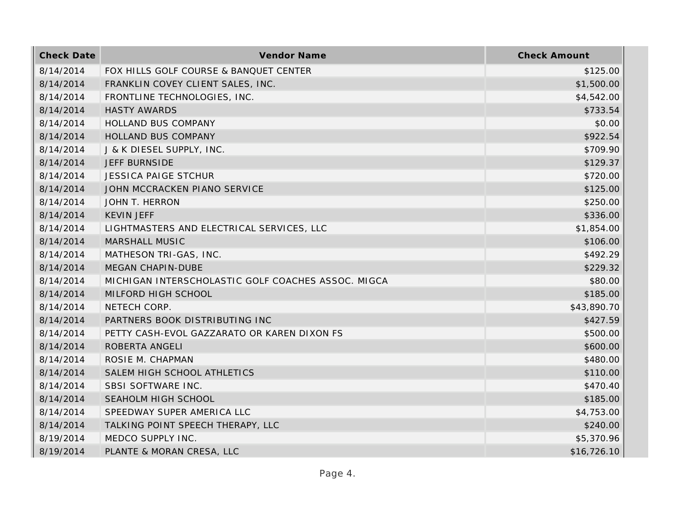| <b>Check Date</b> | Vendor Name                                        | <b>Check Amount</b> |
|-------------------|----------------------------------------------------|---------------------|
| 8/14/2014         | FOX HILLS GOLF COURSE & BANQUET CENTER             | \$125.00            |
| 8/14/2014         | FRANKLIN COVEY CLIENT SALES, INC.                  | \$1,500.00          |
| 8/14/2014         | FRONTLINE TECHNOLOGIES, INC.                       | \$4,542.00          |
| 8/14/2014         | <b>HASTY AWARDS</b>                                | \$733.54            |
| 8/14/2014         | HOLLAND BUS COMPANY                                | \$0.00              |
| 8/14/2014         | HOLLAND BUS COMPANY                                | \$922.54            |
| 8/14/2014         | J & K DIESEL SUPPLY, INC.                          | \$709.90            |
| 8/14/2014         | <b>JEFF BURNSIDE</b>                               | \$129.37            |
| 8/14/2014         | <b>JESSICA PAIGE STCHUR</b>                        | \$720.00            |
| 8/14/2014         | JOHN MCCRACKEN PIANO SERVICE                       | \$125.00            |
| 8/14/2014         | JOHN T. HERRON                                     | \$250.00            |
| 8/14/2014         | <b>KEVIN JEFF</b>                                  | \$336.00            |
| 8/14/2014         | LIGHTMASTERS AND ELECTRICAL SERVICES, LLC          | \$1,854.00          |
| 8/14/2014         | MARSHALL MUSIC                                     | \$106.00            |
| 8/14/2014         | MATHESON TRI-GAS, INC.                             | \$492.29            |
| 8/14/2014         | MEGAN CHAPIN-DUBE                                  | \$229.32            |
| 8/14/2014         | MICHIGAN INTERSCHOLASTIC GOLF COACHES ASSOC. MIGCA | \$80.00             |
| 8/14/2014         | MILFORD HIGH SCHOOL                                | \$185.00            |
| 8/14/2014         | NETECH CORP.                                       | \$43,890.70         |
| 8/14/2014         | PARTNERS BOOK DISTRIBUTING INC                     | \$427.59            |
| 8/14/2014         | PETTY CASH-EVOL GAZZARATO OR KAREN DIXON FS        | \$500.00            |
| 8/14/2014         | ROBERTA ANGELI                                     | \$600.00            |
| 8/14/2014         | ROSIE M. CHAPMAN                                   | \$480.00            |
| 8/14/2014         | SALEM HIGH SCHOOL ATHLETICS                        | \$110.00            |
| 8/14/2014         | SBSI SOFTWARE INC.                                 | \$470.40            |
| 8/14/2014         | SEAHOLM HIGH SCHOOL                                | \$185.00            |
| 8/14/2014         | SPEEDWAY SUPER AMERICA LLC                         | \$4,753.00          |
| 8/14/2014         | TALKING POINT SPEECH THERAPY, LLC                  | \$240.00            |
| 8/19/2014         | MEDCO SUPPLY INC.                                  | \$5,370.96          |
| 8/19/2014         | PLANTE & MORAN CRESA, LLC                          | \$16,726.10         |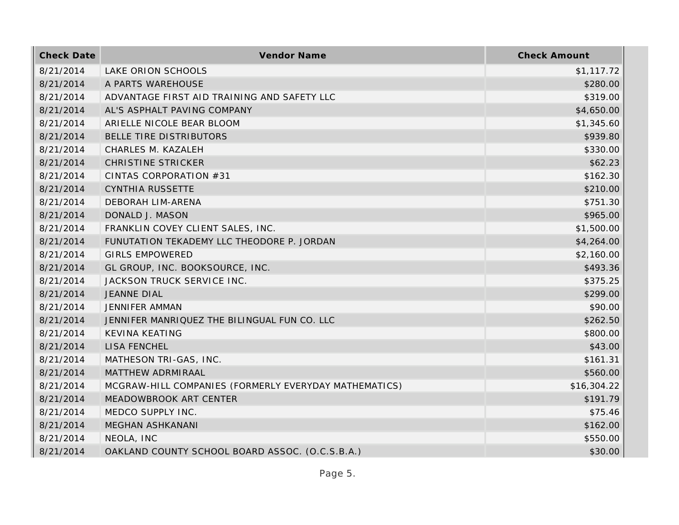| <b>Check Date</b> | Vendor Name                                           | <b>Check Amount</b> |
|-------------------|-------------------------------------------------------|---------------------|
| 8/21/2014         | LAKE ORION SCHOOLS                                    | \$1,117.72          |
| 8/21/2014         | A PARTS WAREHOUSE                                     | \$280.00            |
| 8/21/2014         | ADVANTAGE FIRST AID TRAINING AND SAFETY LLC           | \$319.00            |
| 8/21/2014         | AL'S ASPHALT PAVING COMPANY                           | \$4,650.00          |
| 8/21/2014         | ARIELLE NICOLE BEAR BLOOM                             | \$1,345.60          |
| 8/21/2014         | BELLE TIRE DISTRIBUTORS                               | \$939.80            |
| 8/21/2014         | CHARLES M. KAZALEH                                    | \$330.00            |
| 8/21/2014         | <b>CHRISTINE STRICKER</b>                             | \$62.23             |
| 8/21/2014         | CINTAS CORPORATION #31                                | \$162.30            |
| 8/21/2014         | <b>CYNTHIA RUSSETTE</b>                               | \$210.00            |
| 8/21/2014         | DEBORAH LIM-ARENA                                     | \$751.30            |
| 8/21/2014         | DONALD J. MASON                                       | \$965.00            |
| 8/21/2014         | FRANKLIN COVEY CLIENT SALES, INC.                     | \$1,500.00          |
| 8/21/2014         | FUNUTATION TEKADEMY LLC THEODORE P. JORDAN            | \$4,264.00          |
| 8/21/2014         | <b>GIRLS EMPOWERED</b>                                | \$2,160.00          |
| 8/21/2014         | GL GROUP, INC. BOOKSOURCE, INC.                       | \$493.36            |
| 8/21/2014         | JACKSON TRUCK SERVICE INC.                            | \$375.25            |
| 8/21/2014         | <b>JEANNE DIAL</b>                                    | \$299.00            |
| 8/21/2014         | <b>JENNIFER AMMAN</b>                                 | \$90.00             |
| 8/21/2014         | JENNIFER MANRIQUEZ THE BILINGUAL FUN CO. LLC          | \$262.50            |
| 8/21/2014         | <b>KEVINA KEATING</b>                                 | \$800.00            |
| 8/21/2014         | <b>LISA FENCHEL</b>                                   | \$43.00             |
| 8/21/2014         | MATHESON TRI-GAS, INC.                                | \$161.31            |
| 8/21/2014         | MATTHEW ADRMIRAAL                                     | \$560.00            |
| 8/21/2014         | MCGRAW-HILL COMPANIES (FORMERLY EVERYDAY MATHEMATICS) | \$16,304.22         |
| 8/21/2014         | MEADOWBROOK ART CENTER                                | \$191.79            |
| 8/21/2014         | MEDCO SUPPLY INC.                                     | \$75.46             |
| 8/21/2014         | MEGHAN ASHKANANI                                      | \$162.00            |
| 8/21/2014         | NEOLA, INC                                            | \$550.00            |
| 8/21/2014         | OAKLAND COUNTY SCHOOL BOARD ASSOC. (O.C.S.B.A.)       | \$30.00             |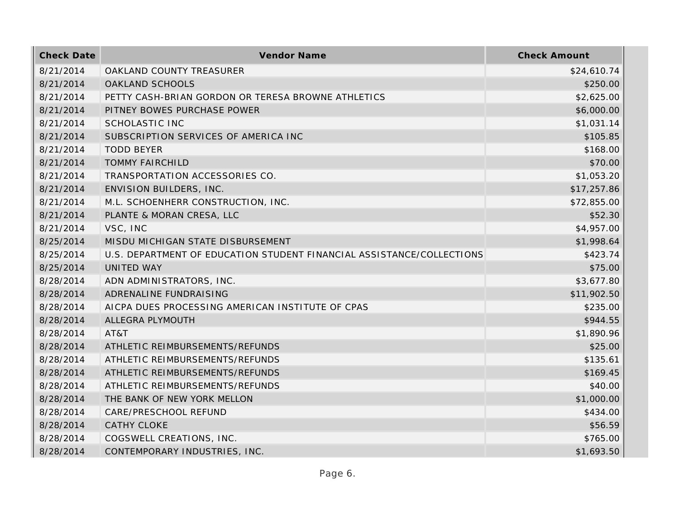| <b>Check Date</b> | <b>Vendor Name</b>                                                    | <b>Check Amount</b> |
|-------------------|-----------------------------------------------------------------------|---------------------|
| 8/21/2014         | OAKLAND COUNTY TREASURER                                              | \$24,610.74         |
| 8/21/2014         | OAKLAND SCHOOLS                                                       | \$250.00            |
| 8/21/2014         | PETTY CASH-BRIAN GORDON OR TERESA BROWNE ATHLETICS                    | \$2,625.00          |
| 8/21/2014         | PITNEY BOWES PURCHASE POWER                                           | \$6,000.00          |
| 8/21/2014         | SCHOLASTIC INC                                                        | \$1,031.14          |
| 8/21/2014         | SUBSCRIPTION SERVICES OF AMERICA INC                                  | \$105.85            |
| 8/21/2014         | <b>TODD BEYER</b>                                                     | \$168.00            |
| 8/21/2014         | <b>TOMMY FAIRCHILD</b>                                                | \$70.00             |
| 8/21/2014         | TRANSPORTATION ACCESSORIES CO.                                        | \$1,053.20          |
| 8/21/2014         | <b>ENVISION BUILDERS, INC.</b>                                        | \$17,257.86         |
| 8/21/2014         | M.L. SCHOENHERR CONSTRUCTION, INC.                                    | \$72,855.00         |
| 8/21/2014         | PLANTE & MORAN CRESA, LLC                                             | \$52.30             |
| 8/21/2014         | VSC, INC                                                              | \$4,957.00          |
| 8/25/2014         | MISDU MICHIGAN STATE DISBURSEMENT                                     | \$1,998.64          |
| 8/25/2014         | U.S. DEPARTMENT OF EDUCATION STUDENT FINANCIAL ASSISTANCE/COLLECTIONS | \$423.74            |
| 8/25/2014         | <b>UNITED WAY</b>                                                     | \$75.00             |
| 8/28/2014         | ADN ADMINISTRATORS, INC.                                              | \$3,677.80          |
| 8/28/2014         | ADRENALINE FUNDRAISING                                                | \$11,902.50         |
| 8/28/2014         | AICPA DUES PROCESSING AMERICAN INSTITUTE OF CPAS                      | \$235.00            |
| 8/28/2014         | ALLEGRA PLYMOUTH                                                      | \$944.55            |
| 8/28/2014         | AT&T                                                                  | \$1,890.96          |
| 8/28/2014         | ATHLETIC REIMBURSEMENTS/REFUNDS                                       | \$25.00             |
| 8/28/2014         | ATHLETIC REIMBURSEMENTS/REFUNDS                                       | \$135.61            |
| 8/28/2014         | ATHLETIC REIMBURSEMENTS/REFUNDS                                       | \$169.45            |
| 8/28/2014         | ATHLETIC REIMBURSEMENTS/REFUNDS                                       | \$40.00             |
| 8/28/2014         | THE BANK OF NEW YORK MELLON                                           | \$1,000.00          |
| 8/28/2014         | CARE/PRESCHOOL REFUND                                                 | \$434.00            |
| 8/28/2014         | <b>CATHY CLOKE</b>                                                    | \$56.59             |
| 8/28/2014         | COGSWELL CREATIONS, INC.                                              | \$765.00            |
| 8/28/2014         | CONTEMPORARY INDUSTRIES, INC.                                         | \$1,693.50          |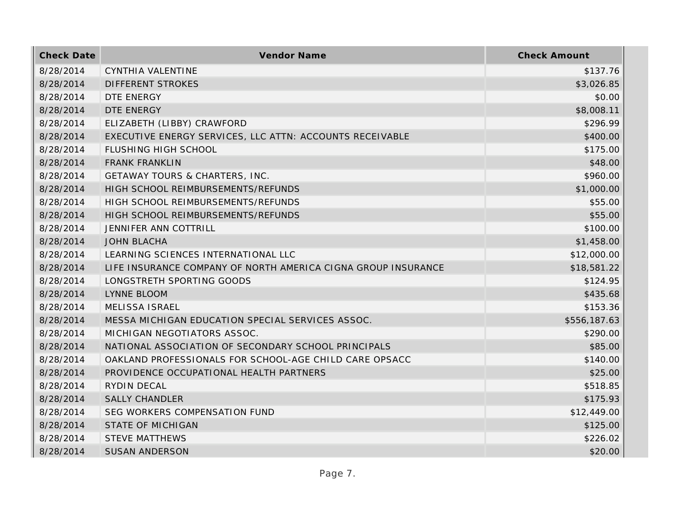| <b>Check Date</b> | Vendor Name                                                   | <b>Check Amount</b> |
|-------------------|---------------------------------------------------------------|---------------------|
| 8/28/2014         | CYNTHIA VALENTINE                                             | \$137.76            |
| 8/28/2014         | <b>DIFFERENT STROKES</b>                                      | \$3,026.85          |
| 8/28/2014         | DTE ENERGY                                                    | \$0.00              |
| 8/28/2014         | DTE ENERGY                                                    | \$8,008.11          |
| 8/28/2014         | ELIZABETH (LIBBY) CRAWFORD                                    | \$296.99            |
| 8/28/2014         | EXECUTIVE ENERGY SERVICES, LLC ATTN: ACCOUNTS RECEIVABLE      | \$400.00            |
| 8/28/2014         | FLUSHING HIGH SCHOOL                                          | \$175.00            |
| 8/28/2014         | <b>FRANK FRANKLIN</b>                                         | \$48.00             |
| 8/28/2014         | GETAWAY TOURS & CHARTERS, INC.                                | \$960.00            |
| 8/28/2014         | HIGH SCHOOL REIMBURSEMENTS/REFUNDS                            | \$1,000.00          |
| 8/28/2014         | HIGH SCHOOL REIMBURSEMENTS/REFUNDS                            | \$55.00             |
| 8/28/2014         | HIGH SCHOOL REIMBURSEMENTS/REFUNDS                            | \$55.00             |
| 8/28/2014         | <b>JENNIFER ANN COTTRILL</b>                                  | \$100.00            |
| 8/28/2014         | <b>JOHN BLACHA</b>                                            | \$1,458.00          |
| 8/28/2014         | LEARNING SCIENCES INTERNATIONAL LLC                           | \$12,000.00         |
| 8/28/2014         | LIFE INSURANCE COMPANY OF NORTH AMERICA CIGNA GROUP INSURANCE | \$18,581.22         |
| 8/28/2014         | LONGSTRETH SPORTING GOODS                                     | \$124.95            |
| 8/28/2014         | LYNNE BLOOM                                                   | \$435.68            |
| 8/28/2014         | <b>MELISSA ISRAEL</b>                                         | \$153.36            |
| 8/28/2014         | MESSA MICHIGAN EDUCATION SPECIAL SERVICES ASSOC.              | \$556,187.63        |
| 8/28/2014         | MICHIGAN NEGOTIATORS ASSOC.                                   | \$290.00            |
| 8/28/2014         | NATIONAL ASSOCIATION OF SECONDARY SCHOOL PRINCIPALS           | \$85.00             |
| 8/28/2014         | OAKLAND PROFESSIONALS FOR SCHOOL-AGE CHILD CARE OPSACC        | \$140.00            |
| 8/28/2014         | PROVIDENCE OCCUPATIONAL HEALTH PARTNERS                       | \$25.00             |
| 8/28/2014         | RYDIN DECAL                                                   | \$518.85            |
| 8/28/2014         | <b>SALLY CHANDLER</b>                                         | \$175.93            |
| 8/28/2014         | SEG WORKERS COMPENSATION FUND                                 | \$12,449.00         |
| 8/28/2014         | <b>STATE OF MICHIGAN</b>                                      | \$125.00            |
| 8/28/2014         | <b>STEVE MATTHEWS</b>                                         | \$226.02            |
| 8/28/2014         | <b>SUSAN ANDERSON</b>                                         | \$20.00             |